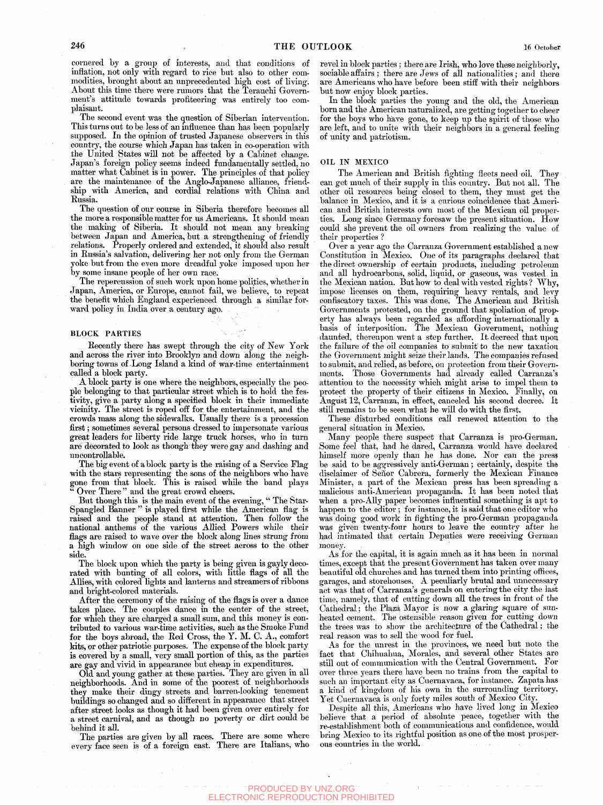cornered by a group of interests, and that conditions of inflation, not only with regard to rice but also to other commodities, brought about an unprecedented high cost of living. About this time there were rumors that the Terauchi Government's attitude towards profiteering was entirely too complaisant.

The second event was the question of Siberian intervention. This turns out to be less of an influence than has been popularly supposed. In the opinion of trusted Japanese observers in this country, the course which Japan has taken in co-operation with the United States will not be affected by a Cabinet change. Japan's foreign policy seems indeed fundamentally settled, no matter what Cabinet is in power. The principles of that policy are the maintenance of the Anglo-Japanese alliance, friendship with America, and cordial relations with China and Russia.

The question of our course in Siberia therefore becomes all the more a responsible matter for us Americans. It should mean the making of Siberia. It should not mean any breaking between Japan and America, but a strengthening of friendly relations. Properly ordered and extended, it should also result in Russia's salvation, delivering her not only from the German yoke but from the even more dreadful yoke imposed upon her by some insane people of her own race.

The repercussion of such work upon home politics, whether in Japan, America, or Europe, cannot fail, we believe, to repeat the benefit which England experienced through a similar forward policy in India over a century ago.

## BLOCK PARTIES

Recently there has swept through the city of New York and across the river into Brooklyn and down along the neighboring towns of -Long Island a kind of war-time entertainment called a block party.

A block party is one where the neighbors, especially the people belonging to that particular street which is to hold the festivity, give a party along a specified block in their immediate vicinity. The street is roped off for the entertainment, and the crowds mass along the sidewalks. Usually there is a procession first; sometimes several persons dressed to impersonate various great leaders for liberty ride large truck horses, who in turn are decorated to look as though they were gay and dashing and uncontrollable.

The big event of a block party is the raising of a Service Flag with the stars representing the sons of the neighbors who have gone from that block. This is raised while the band plays Over There" and the great crowd cheers.

But though this is the main event of the evening, " The Star-Spangled Banner " is played first while the American flag is raised and the people stand at attention. Then follow the national anthems of the various AUied Powers while their flags are raised to wave over the block along lines strung from a high window on one side of the street across to the other side.

The block upon which the party is being given is gayly decorated with bunting of all colors, with little flags of all the Allies, with colored lights and lanterns and streamers of ribbons and bright-colored materials.

After the ceremony of the raising of the flags is over a dance takes place. The couples dance in the center of the street, for which they are charged a small sum, and this money is contributed to various war-time activities, such as the Smoke Fund for the boys abroad, the Red Cross, the Y. M. C. A., comfort kits, or other patriotic purposes. The expense of the block party is covered by a small, very small portion of this, as the parties are gay and vivid in appearance but cheap in expenditures.

Old and young gather at these parties. They are given in all neighborhoods. And in some of the poorest of neighborhoods they make their dingy streets and barren-looking tenement buildings so changed and so different in appearance that street after street looks as though it had been given over entirely for a street carnival, and as though no poverty or dirt could be behind it all.

The parties are given by all races. There are some where every face seen is of a foreign cast. There are Italians, who revel in block parties; there are Irish, who love these neighborly, sociable affairs ; there are Jews of all nationalities; and there are Americans who have before been stiff with their neighbors but now enjoy block parties.

In the block parties the young and the old, the American born and the American naturalized, are getting together to cheer for the boys who have gone, to keep up the spirit of those who are left, and to unite with their neighbors in a general feeling of unity and patriotism.

## OIL IN MEXICO

The American and British fighting fleets need oil. They can get much of their supply in this country. But not all. The other oil resources being closed to them, they must get the balance in Mexico, and it is a curious coincidence that American and British interests own most of the Mexican oil properties. Long since Germany foresaw the present situation. How could she prevent the oil owners from realizing the value of their properties ?

Over a year ago the Carranza Government established a new Constitution in Mexico. One of its paragraphs declared that the direct ownership of certain products, including petroleum and all hydrocarbons, solid, liquid, or gaseous, was vested in the Mexican nation. But how to deal with vested rights? Why, impose licenses on them, requiring heavy rentals, and levy confiscatory taxes. This was done. The American and British Governments protested, on the ground that spoliation of property has always been regarded as affording internationally  $\mathbf{\hat{a}}$ basis of interposition. The Mexican Government, nothing daunted, thereupon went a step further. It. decreed that upon the failure of the oil companies to submit to the new taxation the Government might seize their lands. The companies refused to submit, and relied, as before, on protection from their Governments. Those Governments had already called Carranza's attention to the necessity which might arise to impel them to protect the property of their citizens in Mexico. Finally, on August 12, Carranza, in effect, canceled his second decree. It still remains to be seen what he wiU do with the first.

These disturbed conditions call renewed attention to the general situation in Mexico.

Many people there suspect that Carranza is pro-German. Some feel that, had he dared, Carranza would have declared himself more openly than he has done. Nor can the press be said to be aggressively anti-German; certainly, despite the disclaimer of Señor Cabrera, formerly the Mexican Finance Minister, a part of the Mexican press has been spreading a malicious anti-American propaganda. It has been noted that when a pro-AUy paper becomes influential something is apt to happen to the editor ; for instance, it is said that one editor who was doing good work in fighting the pro-German propaganda was given twenty-four hours to leave the country after he had intimated that certain Deputies were receiving German money.

As for the capital, it is again much as it has been in normal times, except that the present Government has taken over many beautiful old churches and has turned them into printing offices, garages, and storehouses. A peculiarly brutal and unnecessary act was that of Carranza's generals on entering the city the last time, namely, that of cutting down all the trees in front of the Cathedral; the Plaza Mayor is now a glaring square of sunheated cement. The ostensible reason given for cutting down the trees was to show the architecture of the Cathedral; the real reason was to sell the wood for fuel.

As for the unrest in the provinces, we need but note the fact that Chihuahua, Morales, and several other States are stiU out of communication with the Central Government. For over three years there have been no trains from the capital to such an important city as Cuernavaca, for instance. Zapata has a kind of kingdom of his own in the surrounding territory. Yet Cuernavaca is only forty miles south of Mexico City.

Despite all this, Americans who have lived long in Mexico believe that a period of absolute peace, together with the re-establishment both of communications and confidence, would bring Mexico to its rightful position as one of the most prosperous countries in the world.